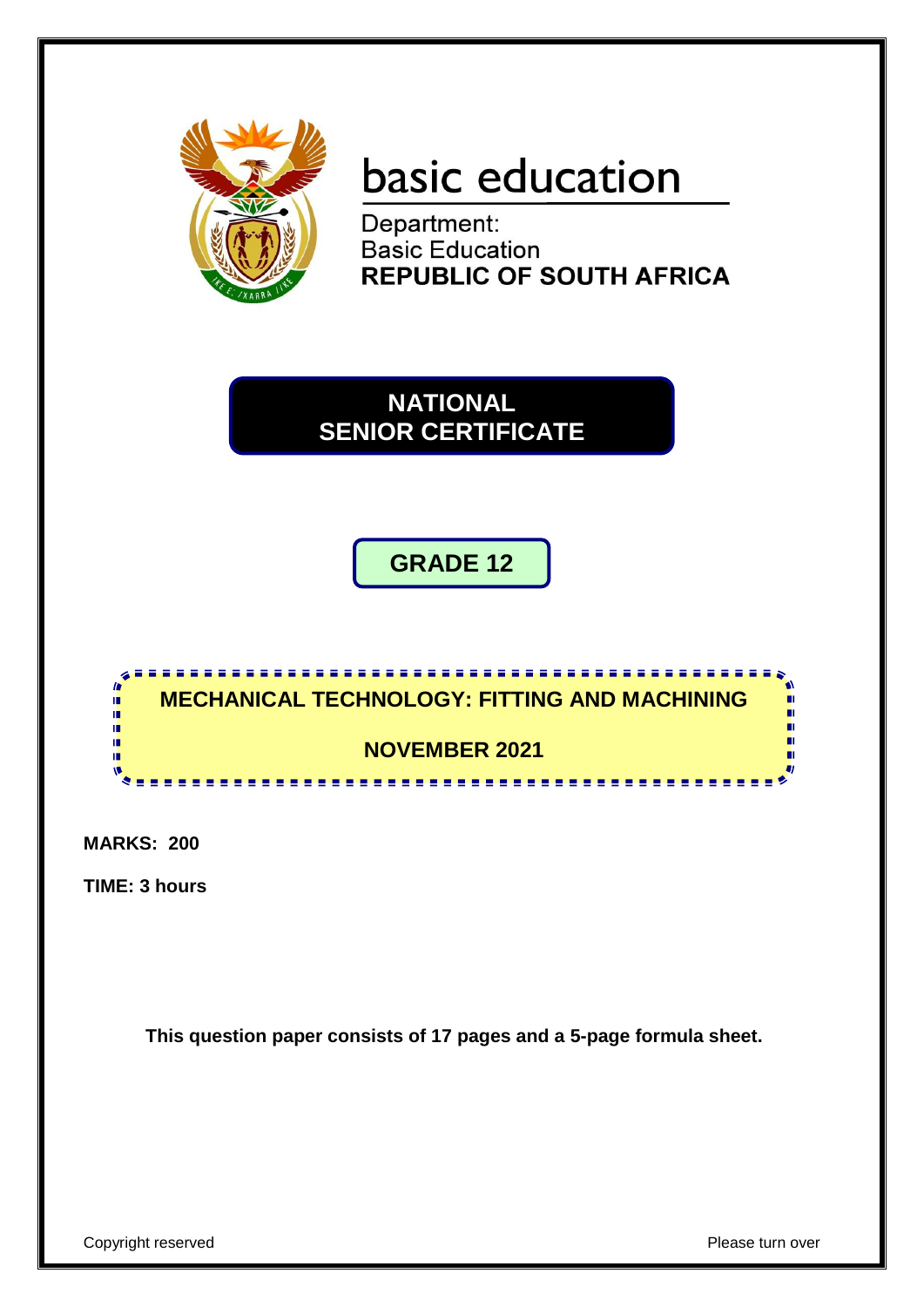

# basic education

Department: **Basic Education REPUBLIC OF SOUTH AFRICA** 

**NATIONAL SENIOR CERTIFICATE**

**GRADE 12**



**MARKS: 200**

**TIME: 3 hours**

**This question paper consists of 17 pages and a 5-page formula sheet.**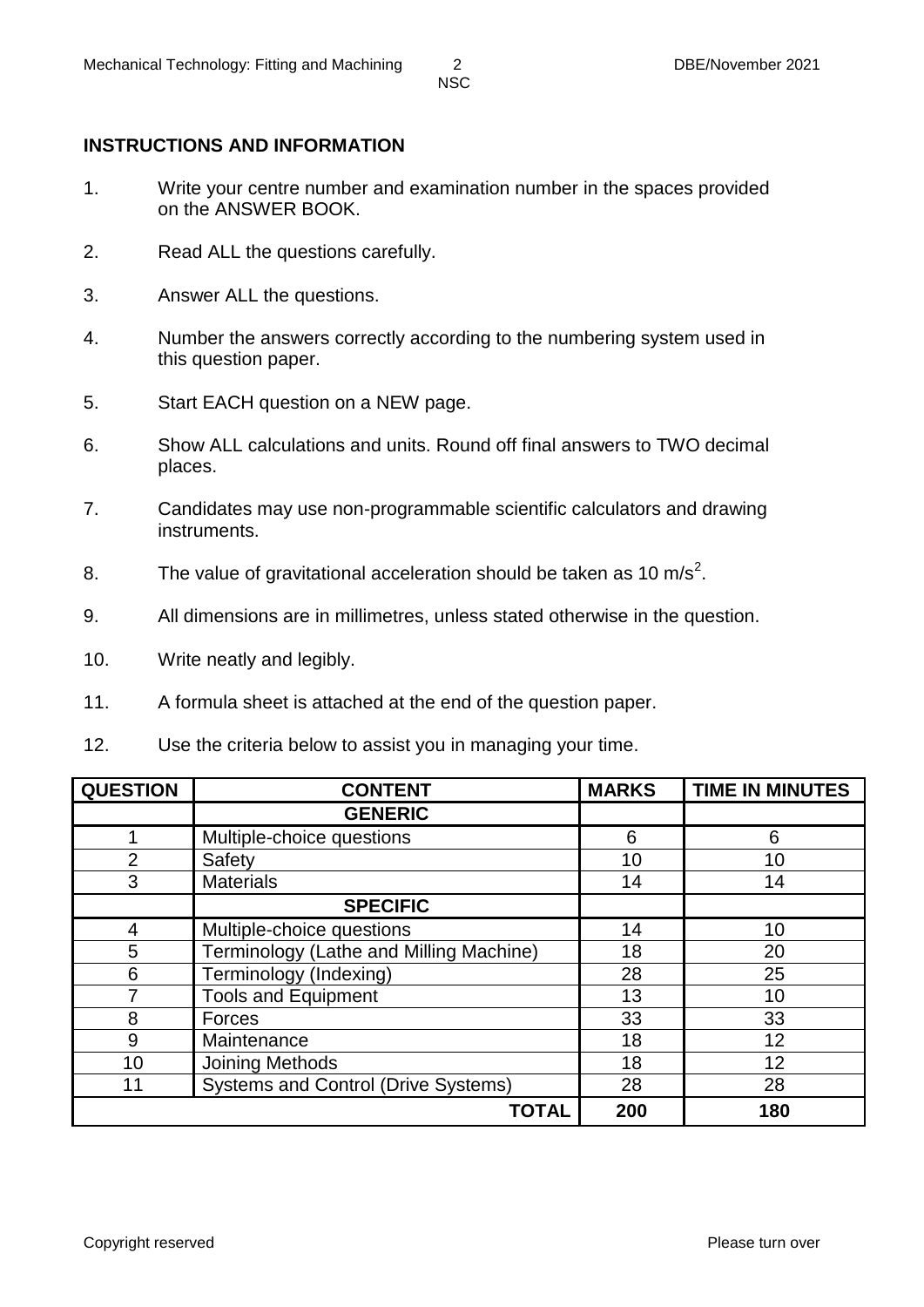### **INSTRUCTIONS AND INFORMATION**

- 1. Write your centre number and examination number in the spaces provided on the ANSWER BOOK.
- 2. Read ALL the questions carefully.
- 3. Answer ALL the questions.
- 4. Number the answers correctly according to the numbering system used in this question paper.
- 5. Start EACH question on a NEW page.
- 6. Show ALL calculations and units. Round off final answers to TWO decimal places.
- 7. Candidates may use non-programmable scientific calculators and drawing instruments.
- 8. The value of gravitational acceleration should be taken as 10 m/s<sup>2</sup>.
- 9. All dimensions are in millimetres, unless stated otherwise in the question.
- 10. Write neatly and legibly.
- 11. A formula sheet is attached at the end of the question paper.
- 12. Use the criteria below to assist you in managing your time.

| <b>QUESTION</b> | <b>CONTENT</b>                             | <b>MARKS</b> | <b>TIME IN MINUTES</b> |
|-----------------|--------------------------------------------|--------------|------------------------|
|                 | <b>GENERIC</b>                             |              |                        |
|                 | Multiple-choice questions                  | 6            | 6                      |
| 2               | Safety                                     | 10           | 10                     |
| 3               | <b>Materials</b>                           | 14           | 14                     |
|                 | <b>SPECIFIC</b>                            |              |                        |
| 4               | Multiple-choice questions                  | 14           | 10                     |
| 5               | Terminology (Lathe and Milling Machine)    | 18           | 20                     |
| 6               | Terminology (Indexing)                     | 28           | 25                     |
|                 | <b>Tools and Equipment</b>                 | 13           | 10                     |
| 8               | Forces                                     | 33           | 33                     |
| 9               | Maintenance                                | 18           | 12                     |
| 10              | Joining Methods                            | 18           | 12                     |
| 11              | <b>Systems and Control (Drive Systems)</b> | 28           | 28                     |
|                 | <b>TOTAL</b>                               | 200          | 180                    |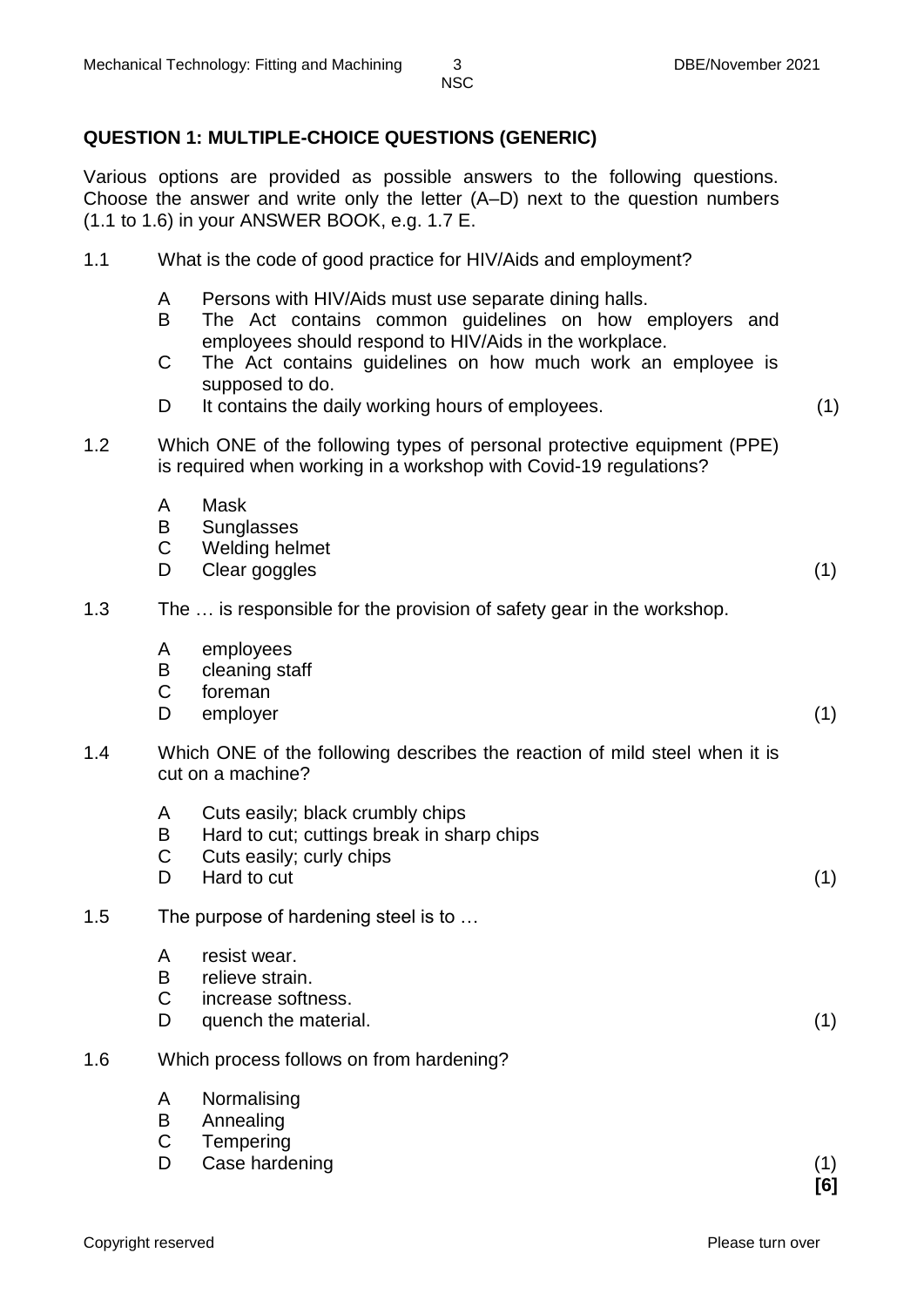### **QUESTION 1: MULTIPLE-CHOICE QUESTIONS (GENERIC)**

Various options are provided as possible answers to the following questions. Choose the answer and write only the letter (A–D) next to the question numbers (1.1 to 1.6) in your ANSWER BOOK, e.g. 1.7 E.

| 1.1 | What is the code of good practice for HIV/Aids and employment? |
|-----|----------------------------------------------------------------|
|     |                                                                |

- A Persons with HIV/Aids must use separate dining halls.
- B The Act contains common guidelines on how employers and employees should respond to HIV/Aids in the workplace.
- $\mathcal{C}$ The Act contains guidelines on how much work an employee is supposed to do.
- D<sub>1</sub> It contains the daily working hours of employees. (1)
	-
- 1.2 Which ONE of the following types of personal protective equipment (PPE) is required when working in a workshop with Covid-19 regulations?
	- A Mask
	- B **Sunglasses**
	- C Welding helmet
	- D. Clear goggles (1) (1)

#### 1.3 The … is responsible for the provision of safety gear in the workshop.

- A employees
- B cleaning staff
- $\mathbf C$ foreman
- D. employer (1)
- 1.4 Which ONE of the following describes the reaction of mild steel when it is cut on a machine?
	- A Cuts easily; black crumbly chips
	- B Hard to cut; cuttings break in sharp chips
	- C Cuts easily; curly chips
	- D<sub>1</sub> Hard to cut (1)

#### 1.5 The purpose of hardening steel is to …

- A resist wear.
- B relieve strain.
- $\mathcal{C}$ increase softness.
- D. quench the material. (1)
- 1.6 Which process follows on from hardening?
	- A Normalising
	- B Annealing
	- $\mathcal{C}$ **Tempering**
	- D Case hardening (1) (1)

**[6]**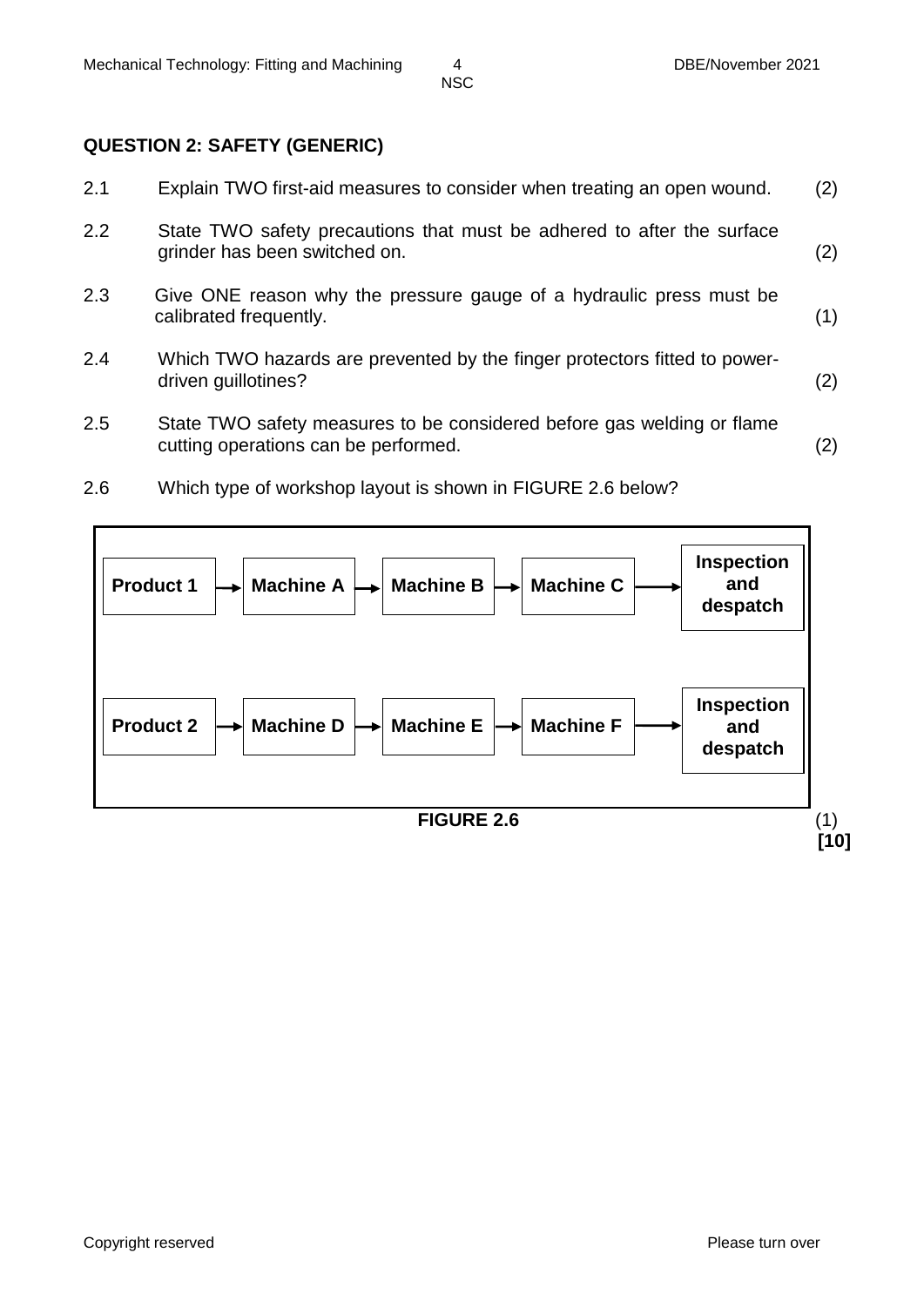### **QUESTION 2: SAFETY (GENERIC)**

| 2.1 | Explain TWO first-aid measures to consider when treating an open wound.                                        | (2) |
|-----|----------------------------------------------------------------------------------------------------------------|-----|
| 2.2 | State TWO safety precautions that must be adhered to after the surface<br>grinder has been switched on.        | (2) |
| 2.3 | Give ONE reason why the pressure gauge of a hydraulic press must be<br>calibrated frequently.                  | (1) |
| 2.4 | Which TWO hazards are prevented by the finger protectors fitted to power-<br>driven guillotines?               | (2) |
| 2.5 | State TWO safety measures to be considered before gas welding or flame<br>cutting operations can be performed. | (2) |

2.6 Which type of workshop layout is shown in FIGURE 2.6 below?

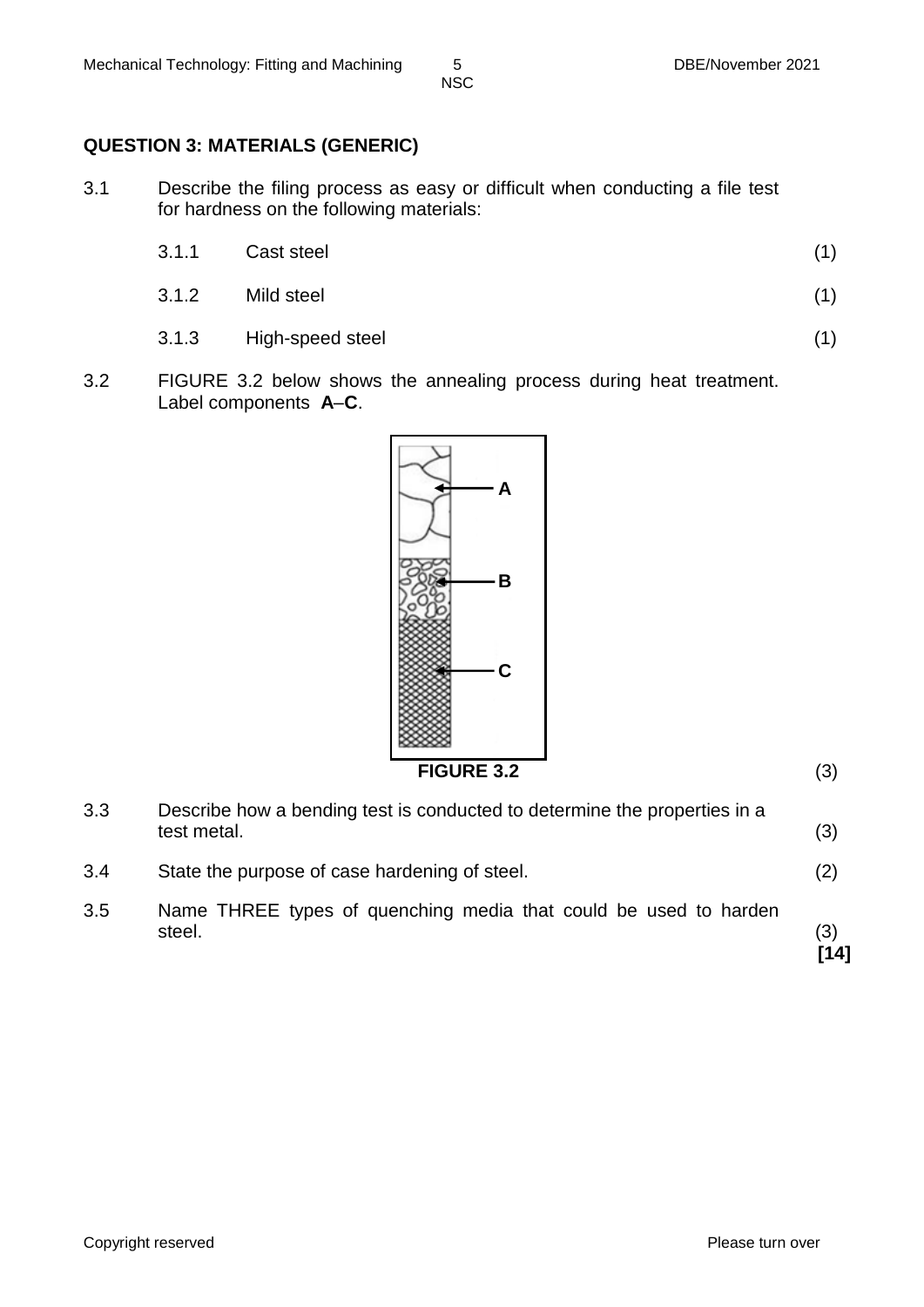# **QUESTION 3: MATERIALS (GENERIC)**

3.1 Describe the filing process as easy or difficult when conducting a file test for hardness on the following materials:

| 3.1.1 | Cast steel |  |
|-------|------------|--|
|       |            |  |

- 3.1.2 Mild steel (1)
- 3.1.3 High-speed steel (1)
- 3.2 FIGURE 3.2 below shows the annealing process during heat treatment. Label components **A**–**C**.



**FIGURE 3.2** (3)

| 3.3 | Describe how a bending test is conducted to determine the properties in a<br>test metal. | (3)         |
|-----|------------------------------------------------------------------------------------------|-------------|
| 3.4 | State the purpose of case hardening of steel.                                            | (2)         |
| 3.5 | Name THREE types of quenching media that could be used to harden<br>steel.               | (3)<br>[14] |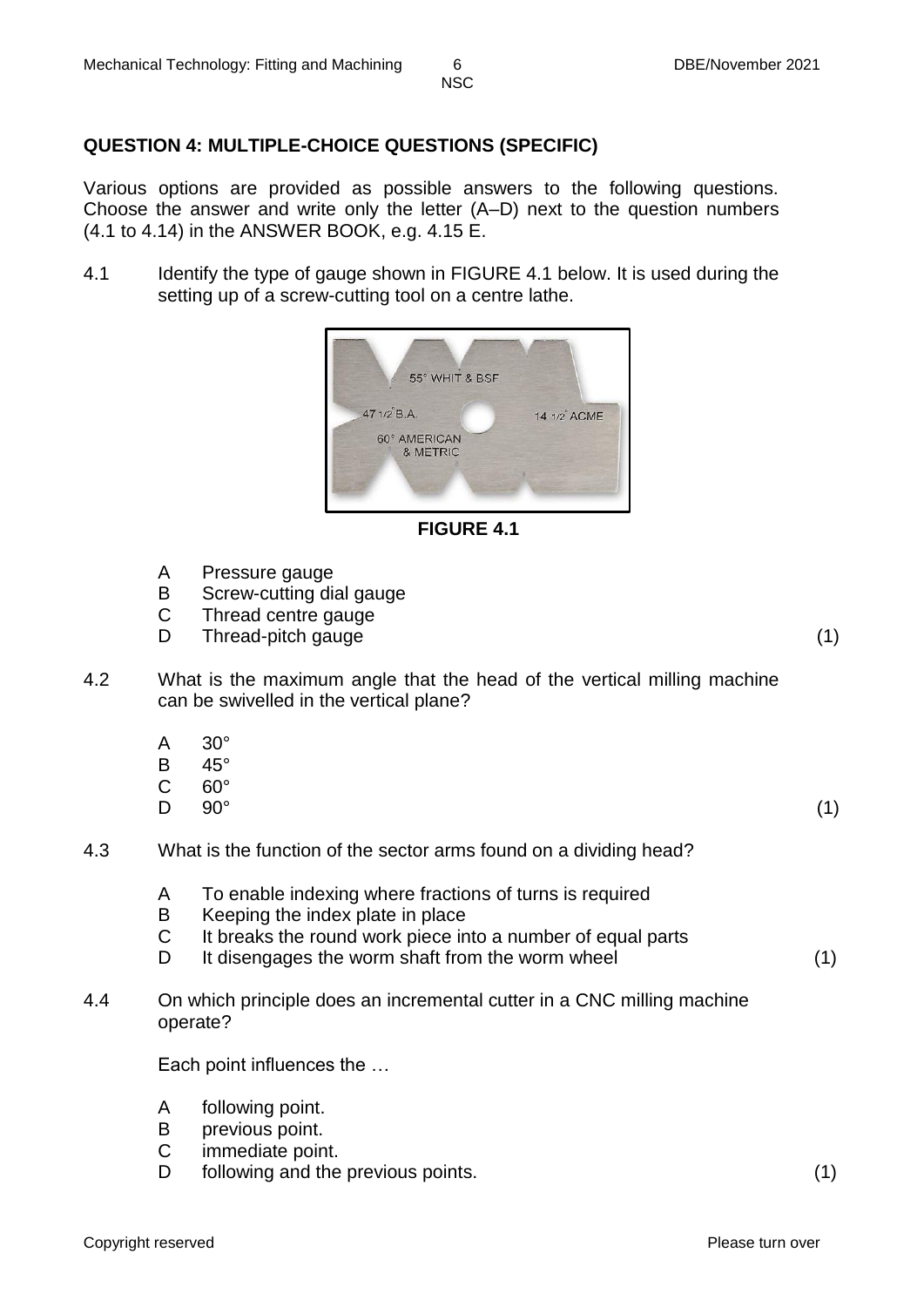# **QUESTION 4: MULTIPLE-CHOICE QUESTIONS (SPECIFIC)**

Various options are provided as possible answers to the following questions. Choose the answer and write only the letter (A–D) next to the question numbers (4.1 to 4.14) in the ANSWER BOOK, e.g. 4.15 E.

4.1 Identify the type of gauge shown in FIGURE 4.1 below. It is used during the setting up of a screw-cutting tool on a centre lathe.



**FIGURE 4.1**

- A Pressure gauge
- B Screw-cutting dial gauge
- $\mathsf{C}$ Thread centre gauge
- D Thread-pitch gauge (1) (1)

- 4.2 What is the maximum angle that the head of the vertical milling machine can be swivelled in the vertical plane?
	- A 30°
	- B 45°
	- C  $60^\circ$
	- $\mathsf{D}$  $90^{\circ}$  (1)

- 4.3 What is the function of the sector arms found on a dividing head?
	- A To enable indexing where fractions of turns is required
	- B Keeping the index plate in place
	- C It breaks the round work piece into a number of equal parts
	- D It disengages the worm shaft from the worm wheel (1)
- 4.4 On which principle does an incremental cutter in a CNC milling machine operate?

Each point influences the …

- A following point.
- B previous point.
- $\mathsf{C}$ immediate point.
- D following and the previous points. (1)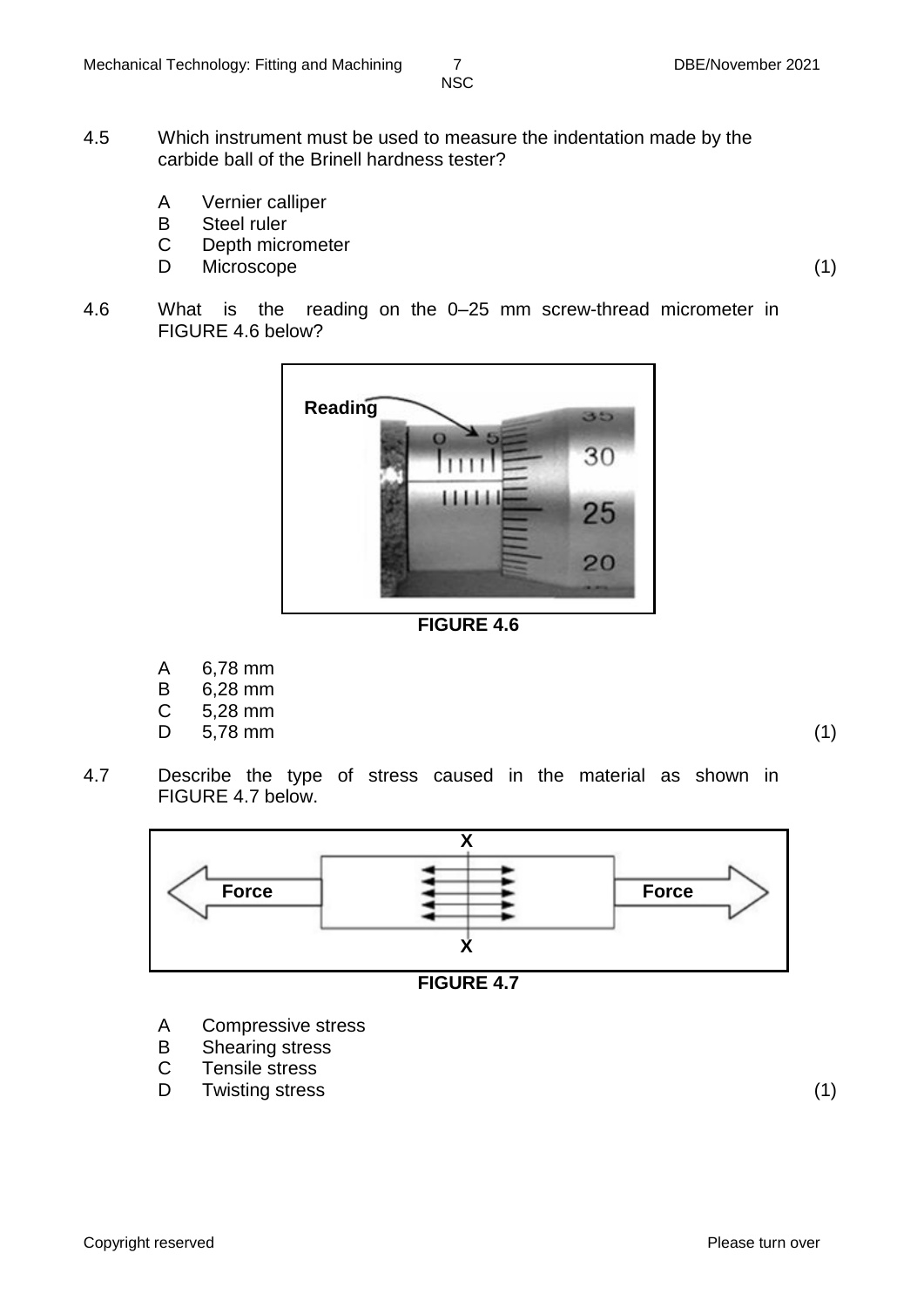- 4.5 Which instrument must be used to measure the indentation made by the carbide ball of the Brinell hardness tester?
	- A Vernier calliper
	- B Steel ruler
	- C Depth micrometer
	- D Microscope (1)
- 4.6 What is the reading on the 0–25 mm screw-thread micrometer in FIGURE 4.6 below?



**FIGURE 4.6**

- A 6,78 mm
- B 6,28 mm
- $\mathcal{C}$ 5,28 mm
- D 5,78 mm (1)

4.7 Describe the type of stress caused in the material as shown in FIGURE 4.7 below.





- A Compressive stress
- B Shearing stress
- C Tensile stress
- D Twisting stress (1)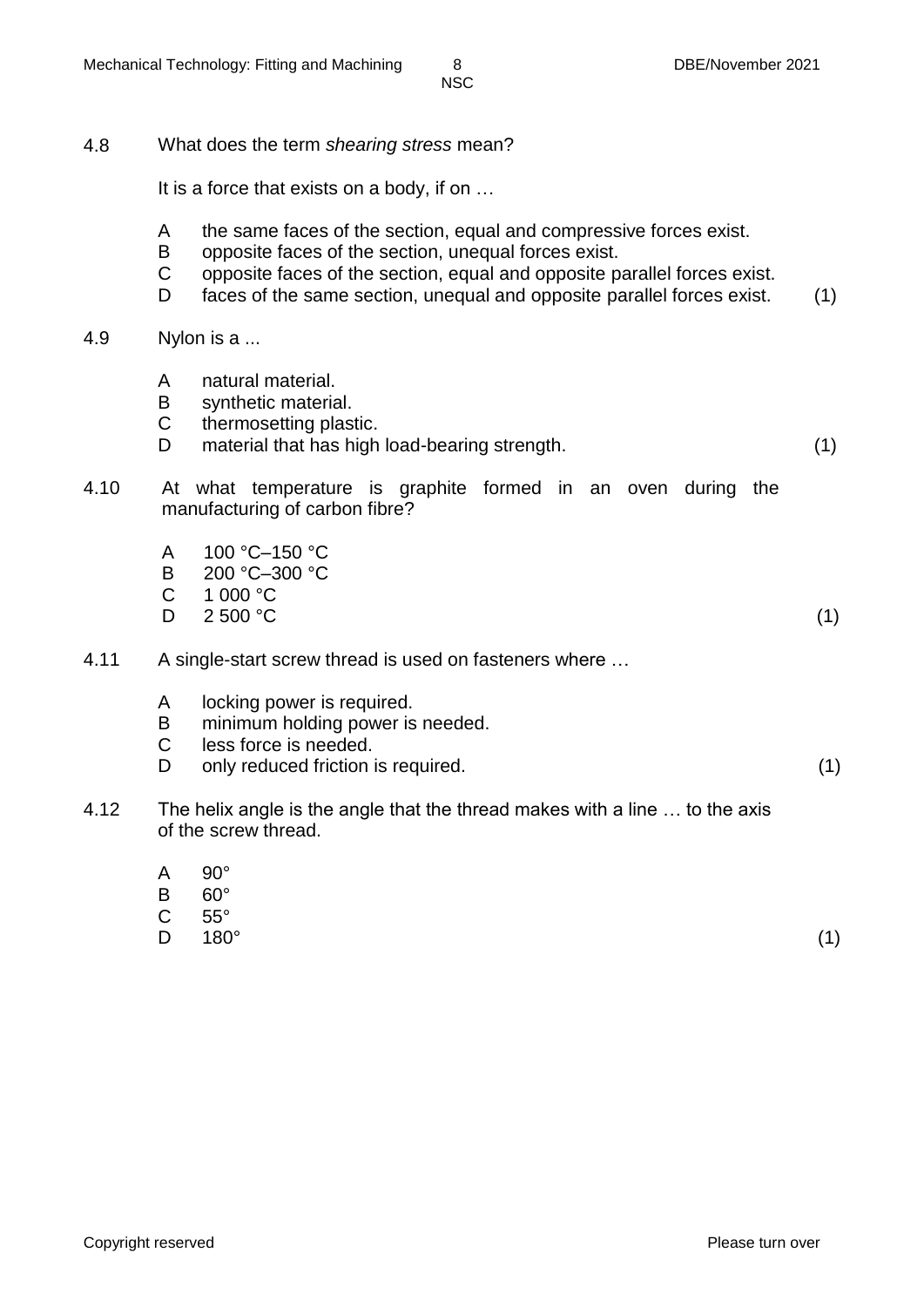4.8 What does the term *shearing stress* mean?

It is a force that exists on a body, if on …

- A the same faces of the section, equal and compressive forces exist.
- B opposite faces of the section, unequal forces exist.
- C opposite faces of the section, equal and opposite parallel forces exist.
- D. faces of the same section, unequal and opposite parallel forces exist. (1)

#### 4.9 Nylon is a ...

- A natural material.
- B synthetic material.
- C thermosetting plastic.
- D material that has high load-bearing strength. (1)

- 4.10 At what temperature is graphite formed in an oven during the manufacturing of carbon fibre?
	- A 100 °C–150 °C
	- R. 200 °C–300 °C
	- C 1 000 °C
	- D.  $2\,500\,^{\circ}\mathrm{C}$  (1)
- 4.11 A single-start screw thread is used on fasteners where …
	- A locking power is required.
	- B minimum holding power is needed.
	- C less force is needed.
	- D. only reduced friction is required. (1)
- 4.12 The helix angle is the angle that the thread makes with a line … to the axis of the screw thread.
	- A 90°
	- B  $60^\circ$
	- C 55°
	- D<sub>1</sub>  $180^{\circ}$  (1)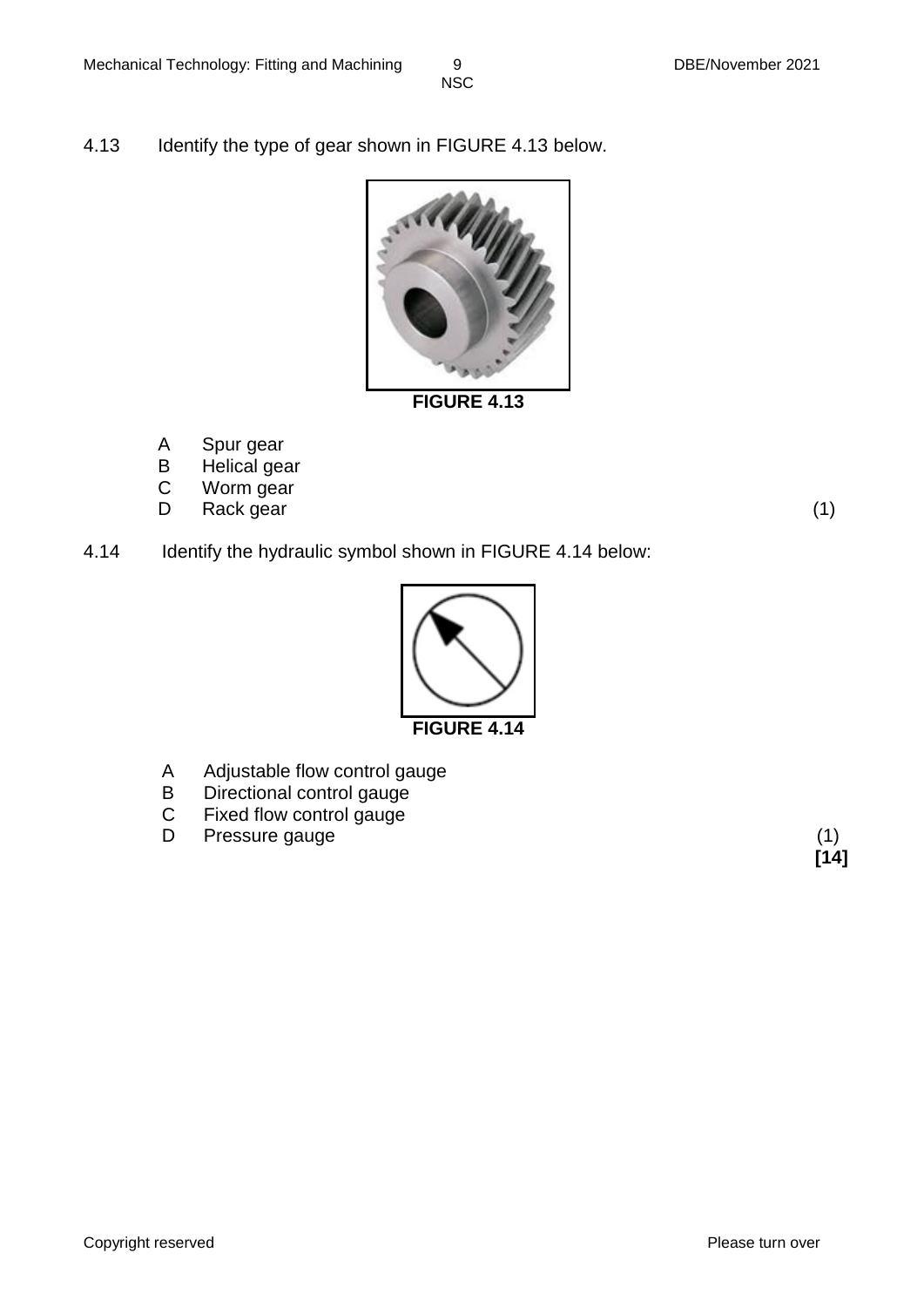4.13 Identify the type of gear shown in FIGURE 4.13 below.



**FIGURE 4.13**

- A Spur gear
- B Helical gear
- C Worm gear
- D Rack gear (1)

4.14 Identify the hydraulic symbol shown in FIGURE 4.14 below:



- A Adjustable flow control gauge
- B Directional control gauge
- C Fixed flow control gauge
- D Pressure gauge (1)

**[14]**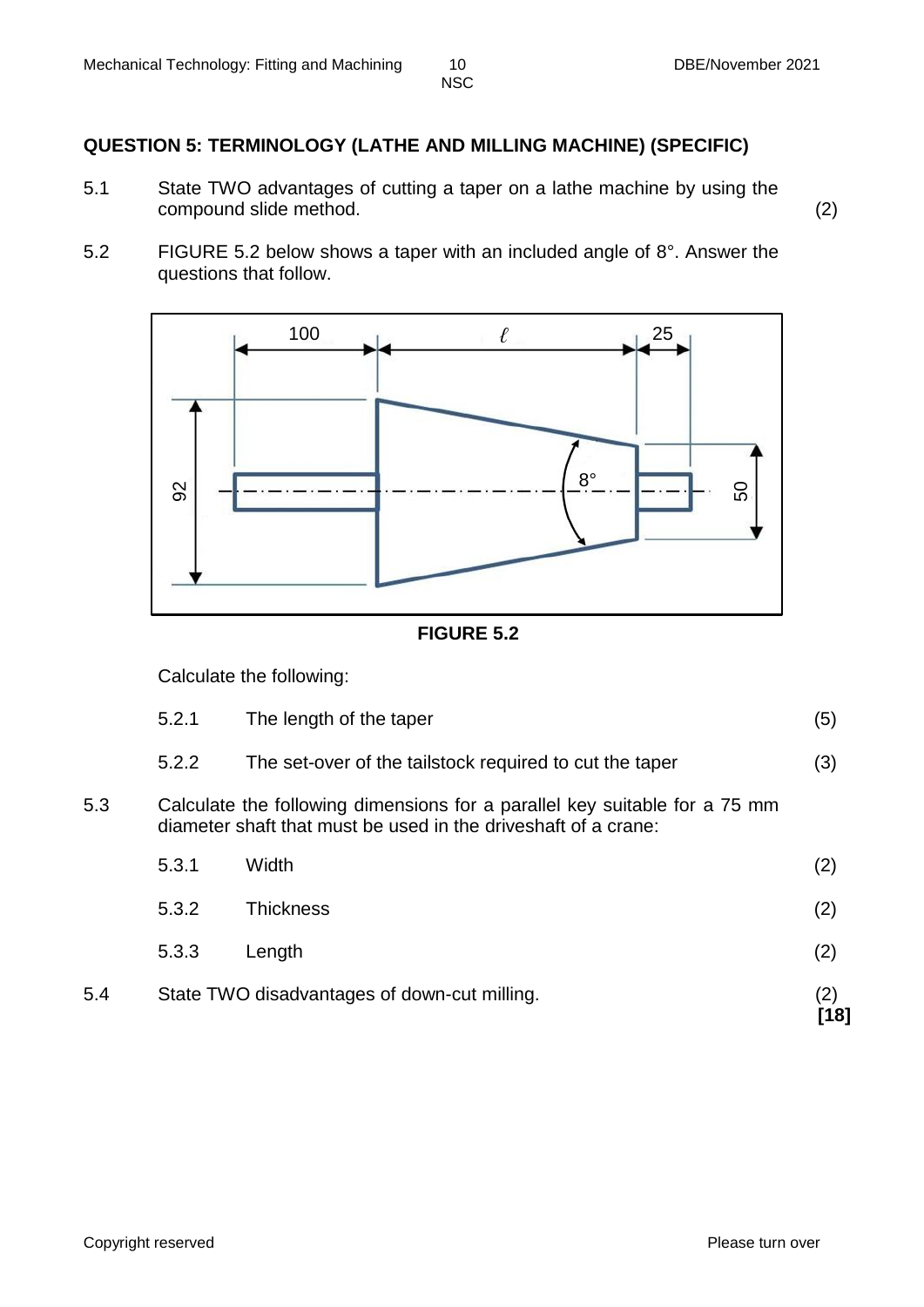### **QUESTION 5: TERMINOLOGY (LATHE AND MILLING MACHINE) (SPECIFIC)**

- 5.1 State TWO advantages of cutting a taper on a lathe machine by using the compound slide method. (2)
- 5.2 FIGURE 5.2 below shows a taper with an included angle of 8°. Answer the questions that follow.





Calculate the following:

| 5.2.1 | The length of the taper |  |
|-------|-------------------------|--|
|       |                         |  |

- 5.2.2 The set-over of the tailstock required to cut the taper (3)
- 5.3 Calculate the following dimensions for a parallel key suitable for a 75 mm diameter shaft that must be used in the driveshaft of a crane:

| 5.4 |       | State TWO disadvantages of down-cut milling. | (2)<br>[18] |
|-----|-------|----------------------------------------------|-------------|
|     | 5.3.3 | Length                                       | (2)         |
|     | 5.3.2 | <b>Thickness</b>                             | (2)         |
|     | 5.3.1 | Width                                        | (2)         |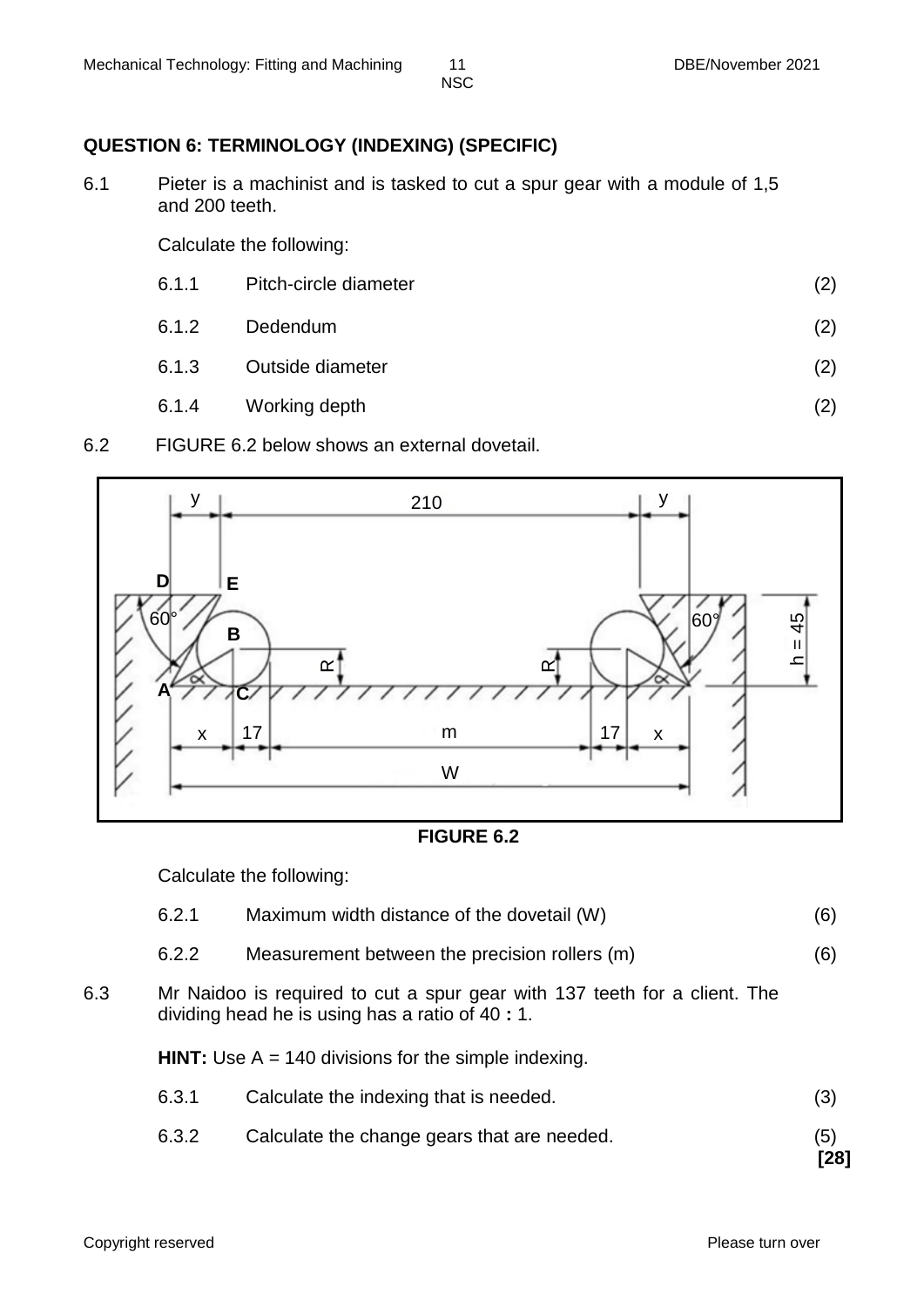# **QUESTION 6: TERMINOLOGY (INDEXING) (SPECIFIC)**

6.1 Pieter is a machinist and is tasked to cut a spur gear with a module of 1,5 and 200 teeth.

Calculate the following:

- 6.1.1 Pitch-circle diameter (2)
- 6.1.2 Dedendum (2)
- 6.1.3 Outside diameter (2)
- 6.1.4 Working depth (2)
- 6.2 FIGURE 6.2 below shows an external dovetail.



### **FIGURE 6.2**

Calculate the following:

- 6.2.1 Maximum width distance of the dovetail (W) (6)
- 6.2.2 Measurement between the precision rollers (m) (6)
- 6.3 Mr Naidoo is required to cut a spur gear with 137 teeth for a client. The dividing head he is using has a ratio of 40 **:** 1.

**HINT:** Use A = 140 divisions for the simple indexing.

- 6.3.1 Calculate the indexing that is needed. (3)
- 6.3.2 Calculate the change gears that are needed. (5)

**[28]**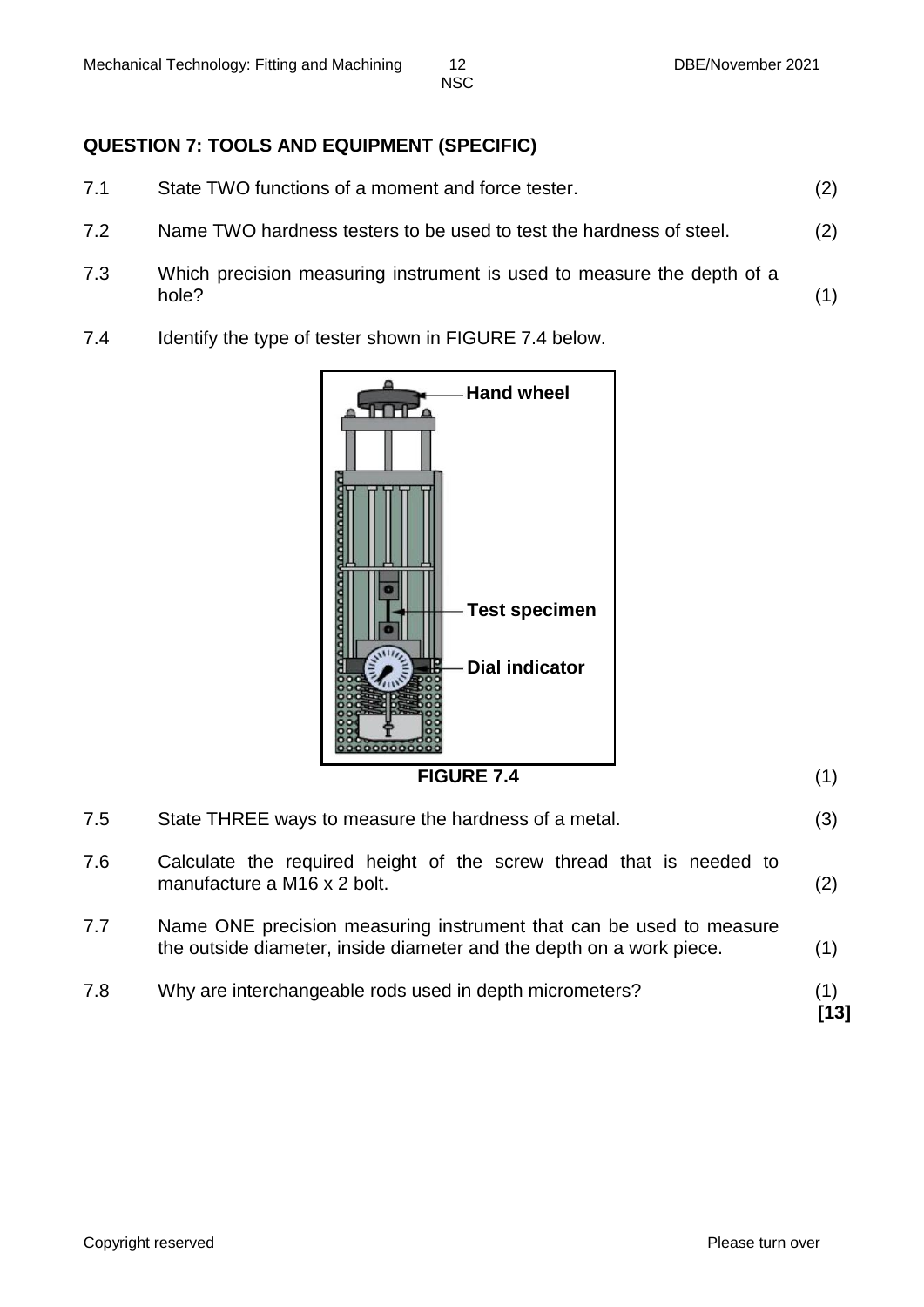# **QUESTION 7: TOOLS AND EQUIPMENT (SPECIFIC)**

7.1 State TWO functions of a moment and force tester. (2) 7.2 Name TWO hardness testers to be used to test the hardness of steel. (2) 7.3 Which precision measuring instrument is used to measure the depth of a hole? (1)

7.4 Identify the type of tester shown in FIGURE 7.4 below.



**FIGURE 7.4** (1)

- 7.5 State THREE ways to measure the hardness of a metal. (3)
- 7.6 Calculate the required height of the screw thread that is needed to manufacture a M16 x 2 bolt.  $(2)$
- 7.7 Name ONE precision measuring instrument that can be used to measure the outside diameter, inside diameter and the depth on a work piece. (1)
- 7.8 Why are interchangeable rods used in depth micrometers? (1) **[13]**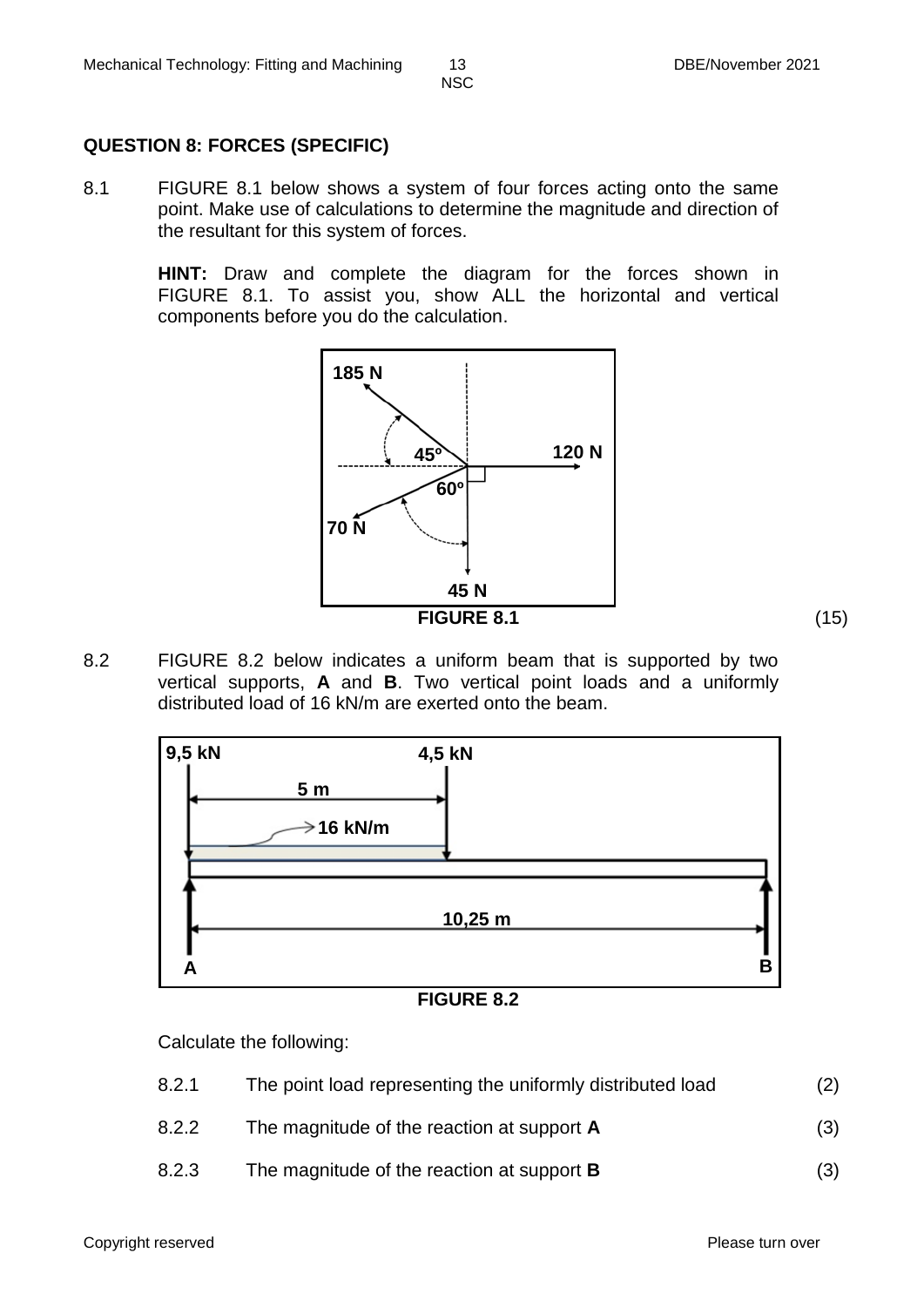### **QUESTION 8: FORCES (SPECIFIC)**

8.1 FIGURE 8.1 below shows a system of four forces acting onto the same point. Make use of calculations to determine the magnitude and direction of the resultant for this system of forces.

> **HINT:** Draw and complete the diagram for the forces shown in FIGURE 8.1. To assist you, show ALL the horizontal and vertical components before you do the calculation.



8.2 FIGURE 8.2 below indicates a uniform beam that is supported by two vertical supports, **A** and **B**. Two vertical point loads and a uniformly distributed load of 16 kN/m are exerted onto the beam.



**FIGURE 8.2**

Calculate the following:

| 8.2.1 | The point load representing the uniformly distributed load | (2) |
|-------|------------------------------------------------------------|-----|
| 8.2.2 | The magnitude of the reaction at support <b>A</b>          | (3) |
| 8.2.3 | The magnitude of the reaction at support <b>B</b>          | (3) |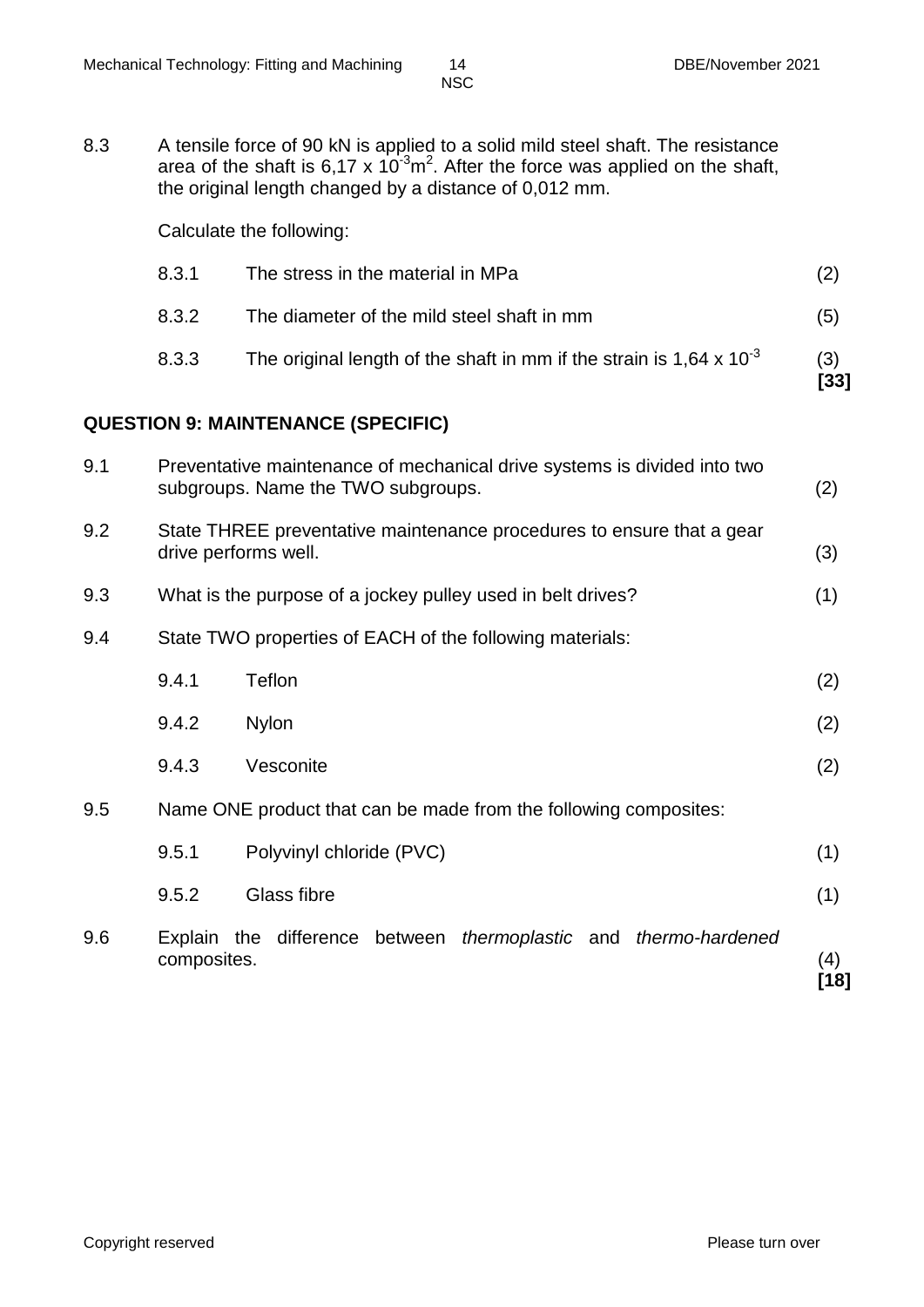- 
- 8.3 A tensile force of 90 kN is applied to a solid mild steel shaft. The resistance area of the shaft is 6,17 x 10<sup>-3</sup>m<sup>2</sup>. After the force was applied on the shaft, the original length changed by a distance of 0,012 mm.

Calculate the following:

| 8.3.1 | The stress in the material in MPa                                             | (2)         |
|-------|-------------------------------------------------------------------------------|-------------|
| 8.3.2 | The diameter of the mild steel shaft in mm                                    | (5)         |
| 8.3.3 | The original length of the shaft in mm if the strain is $1,64 \times 10^{-3}$ | (3)<br>[33] |

# **QUESTION 9: MAINTENANCE (SPECIFIC)**

| 9.1 |             | Preventative maintenance of mechanical drive systems is divided into two<br>subgroups. Name the TWO subgroups. | (2)         |
|-----|-------------|----------------------------------------------------------------------------------------------------------------|-------------|
| 9.2 |             | State THREE preventative maintenance procedures to ensure that a gear<br>drive performs well.                  | (3)         |
| 9.3 |             | What is the purpose of a jockey pulley used in belt drives?                                                    | (1)         |
| 9.4 |             | State TWO properties of EACH of the following materials:                                                       |             |
|     | 9.4.1       | Teflon                                                                                                         | (2)         |
|     | 9.4.2       | <b>Nylon</b>                                                                                                   | (2)         |
|     | 9.4.3       | Vesconite                                                                                                      | (2)         |
| 9.5 |             | Name ONE product that can be made from the following composites:                                               |             |
|     | 9.5.1       | Polyvinyl chloride (PVC)                                                                                       | (1)         |
|     | 9.5.2       | Glass fibre                                                                                                    | (1)         |
| 9.6 | composites. | Explain the difference between <i>thermoplastic</i> and <i>thermo-hardened</i>                                 | (4)<br>[18] |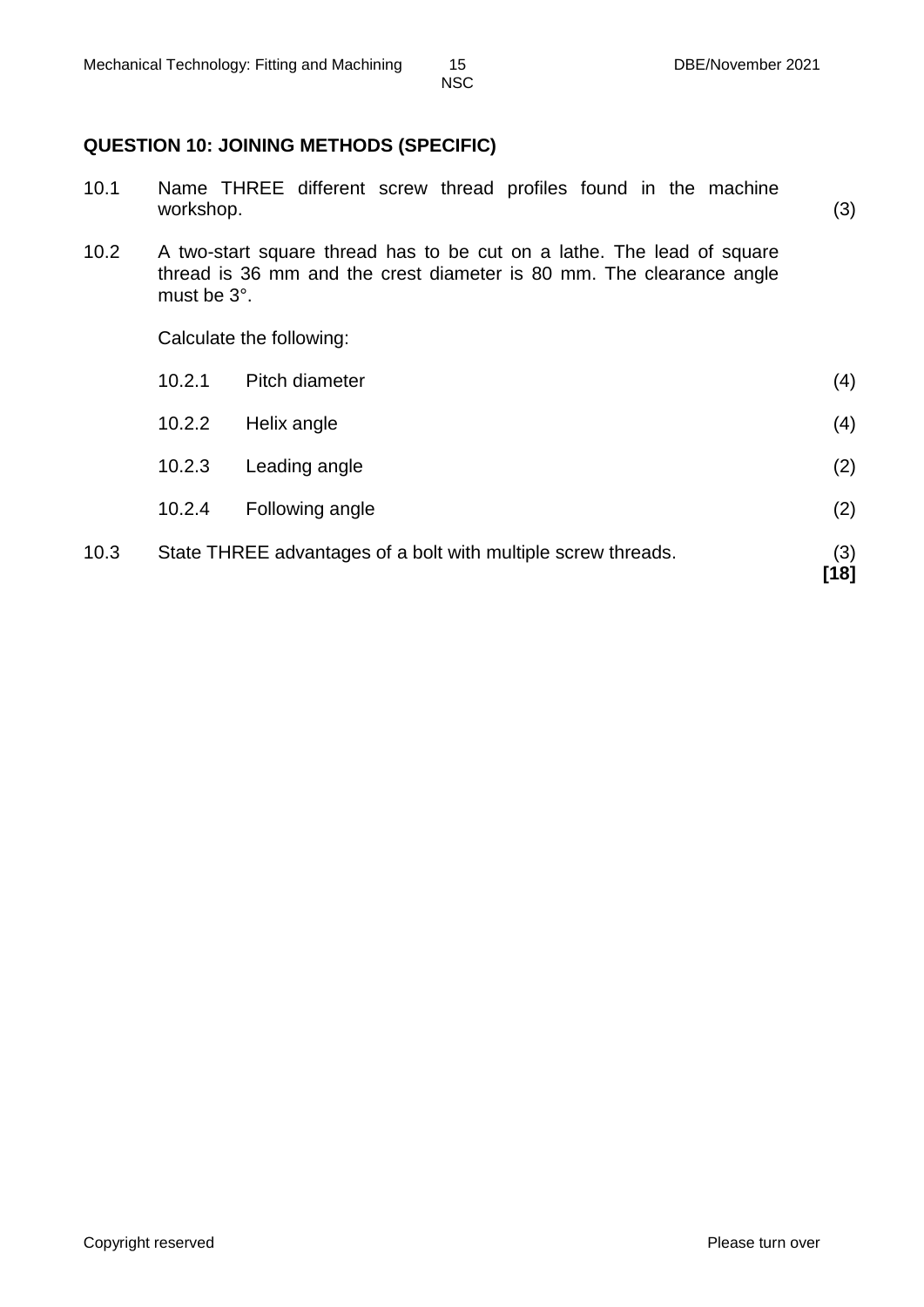# **QUESTION 10: JOINING METHODS (SPECIFIC)**

| 10.1 | workshop.   | Name THREE different screw thread profiles found in the machine                                                                                | (3)           |
|------|-------------|------------------------------------------------------------------------------------------------------------------------------------------------|---------------|
| 10.2 | must be 3°. | A two-start square thread has to be cut on a lathe. The lead of square<br>thread is 36 mm and the crest diameter is 80 mm. The clearance angle |               |
|      |             | Calculate the following:                                                                                                                       |               |
|      | 10.2.1      | Pitch diameter                                                                                                                                 | (4)           |
|      | 10.2.2      | Helix angle                                                                                                                                    | (4)           |
|      | 10.2.3      | Leading angle                                                                                                                                  | (2)           |
|      | 10.2.4      | Following angle                                                                                                                                | (2)           |
| 10.3 |             | State THREE advantages of a bolt with multiple screw threads.                                                                                  | (3)<br>$[18]$ |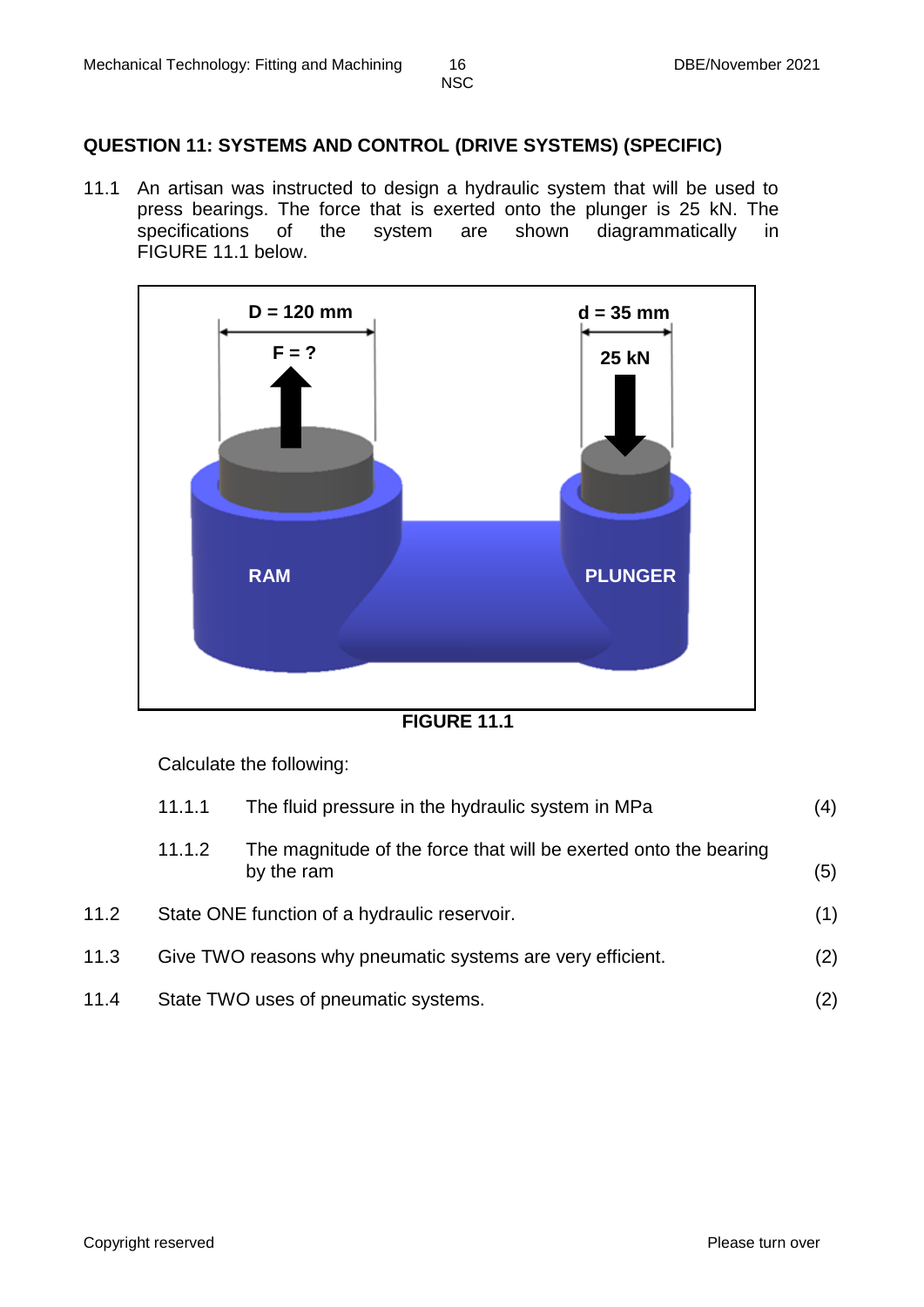### **QUESTION 11: SYSTEMS AND CONTROL (DRIVE SYSTEMS) (SPECIFIC)**

11.1 An artisan was instructed to design a hydraulic system that will be used to press bearings. The force that is exerted onto the plunger is 25 kN. The specifications of the system are shown diagrammatically in FIGURE 11.1 below.



**FIGURE 11.1**

Calculate the following:

|      | 11.1.1 | The fluid pressure in the hydraulic system in MPa                              | (4) |
|------|--------|--------------------------------------------------------------------------------|-----|
|      | 11.1.2 | The magnitude of the force that will be exerted onto the bearing<br>by the ram | (5) |
| 11.2 |        | State ONE function of a hydraulic reservoir.                                   | (1) |
| 11.3 |        | Give TWO reasons why pneumatic systems are very efficient.                     | (2) |
| 11.4 |        | State TWO uses of pneumatic systems.                                           | (2) |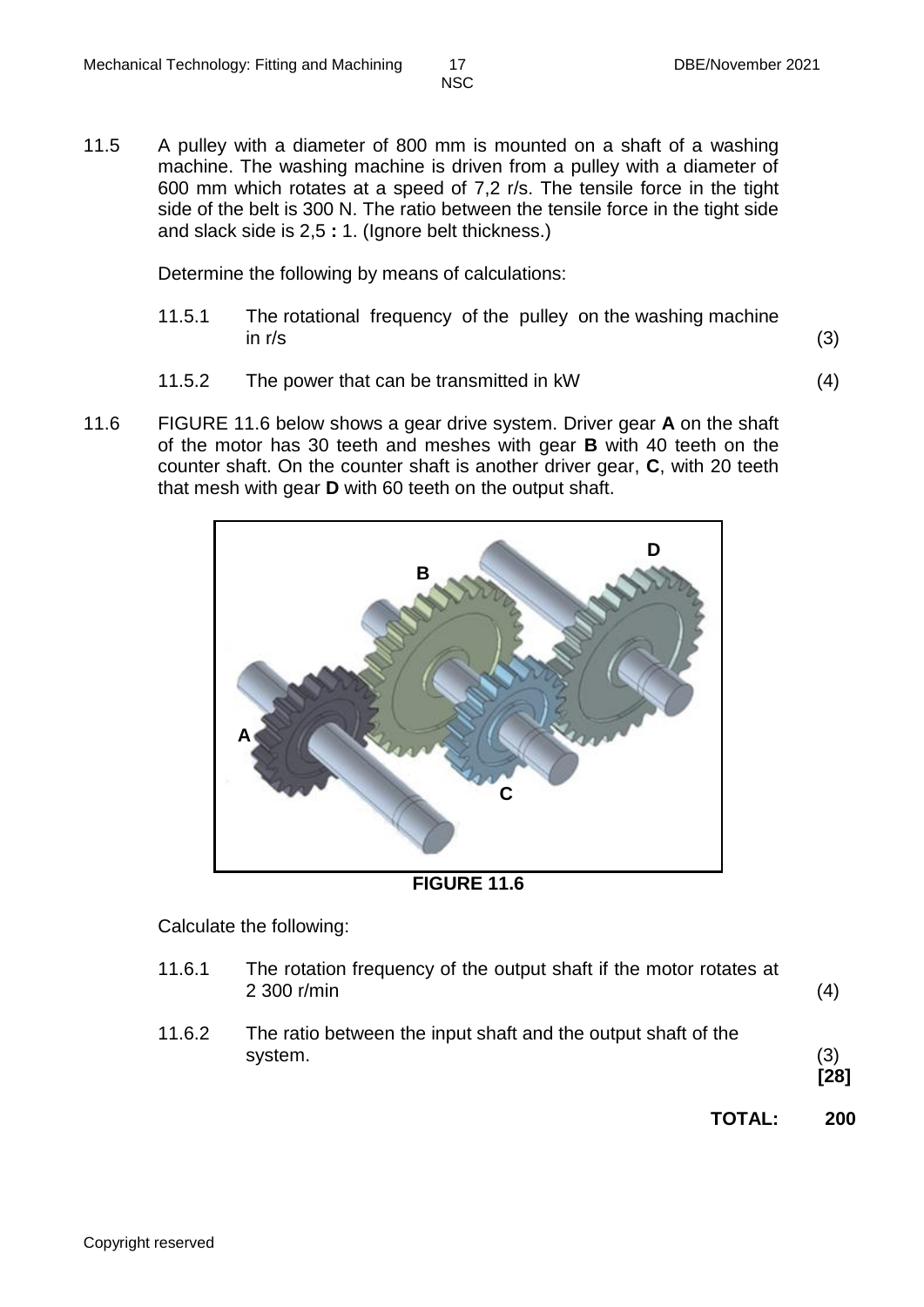11.5 A pulley with a diameter of 800 mm is mounted on a shaft of a washing machine. The washing machine is driven from a pulley with a diameter of 600 mm which rotates at a speed of 7,2 r/s. The tensile force in the tight side of the belt is 300 N. The ratio between the tensile force in the tight side and slack side is 2,5 **:** 1. (Ignore belt thickness.)

Determine the following by means of calculations:

- 11.5.1 The rotational frequency of the pulley on the washing machine in r/s  $(3)$
- 11.5.2 The power that can be transmitted in kW (4)
- 11.6 FIGURE 11.6 below shows a gear drive system. Driver gear **A** on the shaft of the motor has 30 teeth and meshes with gear **B** with 40 teeth on the counter shaft. On the counter shaft is another driver gear, **C**, with 20 teeth that mesh with gear **D** with 60 teeth on the output shaft.



**FIGURE 11.6**

Calculate the following:

11.6.1 The rotation frequency of the output shaft if the motor rotates at 2 300 r/min (4) 11.6.2 The ratio between the input shaft and the output shaft of the system. (3) **[28] TOTAL: 200**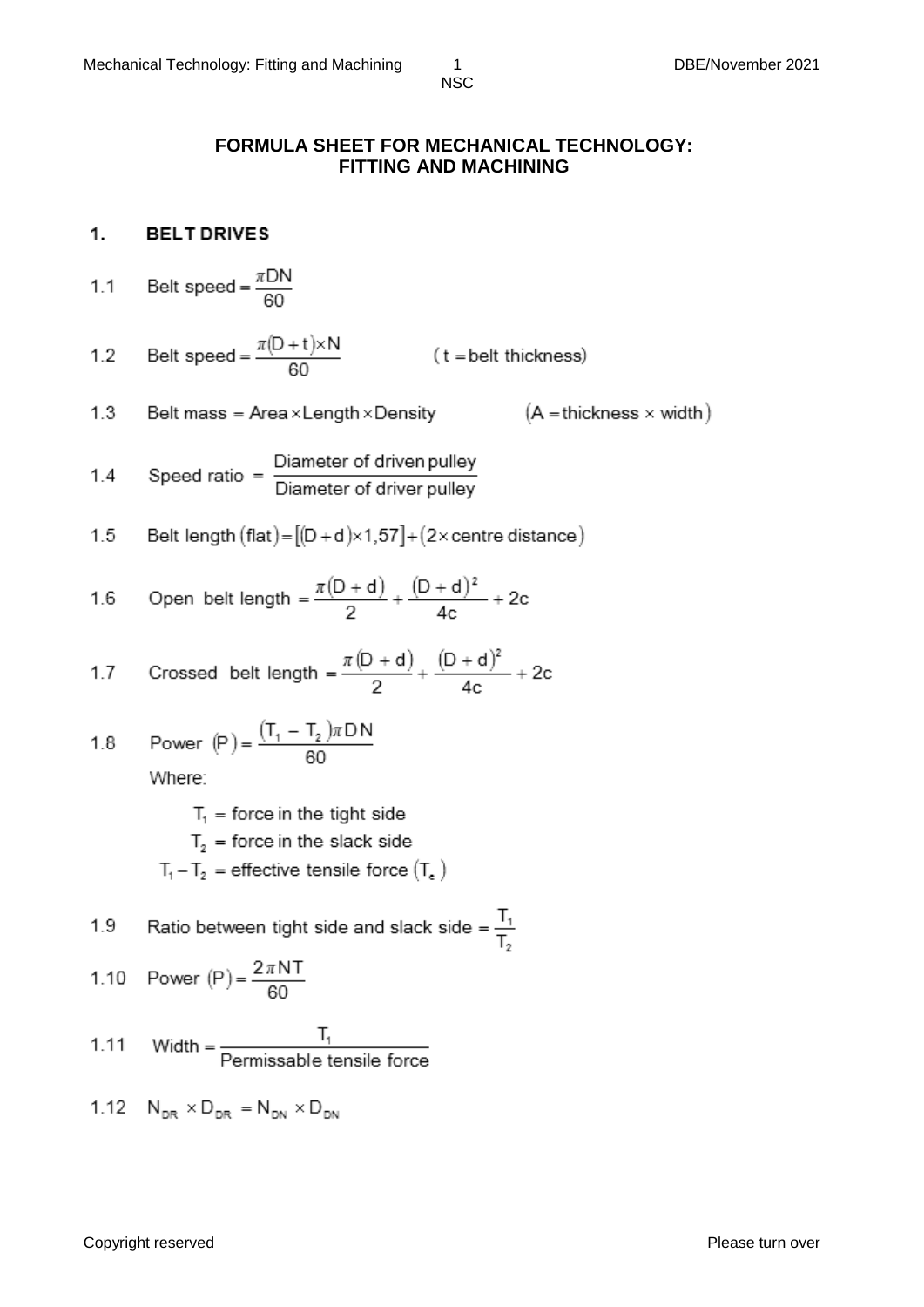### **FORMULA SHEET FOR MECHANICAL TECHNOLOGY: FITTING AND MACHINING**

#### 1. **BELT DRIVES**

Belt speed =  $\frac{\pi DN}{60}$  $1.1$ 

Belt speed =  $\frac{\pi(D+t)\times N}{60}$ (t = belt thickness)  $1.2$ 

 $(A = \text{thickness} \times \text{width})$  $1.3$ Belt mass =  $Area \times Length \times Density$ 

1.4 Speed ratio = 
$$
\frac{\text{Diameter of driven pulley}}{\text{Diameter of driver pulley}}
$$

1.5 Belt length (flat) = 
$$
[(D + d) \times 1, 57] + (2 \times
$$
centre distance)

1.6 Open belt length = 
$$
\frac{\pi(D+d)}{2} + \frac{(D+d)^2}{4c} + 2c
$$

1.7 Crossed belt length = 
$$
\frac{\pi (D + d)}{2} + \frac{(D + d)^2}{4c} + 2c
$$

1.8 Power (P) = 
$$
\frac{(T_1 - T_2)\pi DN}{60}
$$

Where:

- $T_1$  = force in the tight side
- $T<sub>2</sub>$  = force in the slack side
- $T_1 T_2$  = effective tensile force  $(T_e)$

Ratio between tight side and slack side =  $\frac{T_1}{T_2}$ 1.9

1.10 Power (P) = 
$$
\frac{2\pi NT}{60}
$$

1.11 Width = 
$$
\frac{T_1}{\text{Permissible tensile force}}
$$

1.12 
$$
N_{DR} \times D_{DR} = N_{DN} \times D_{DN}
$$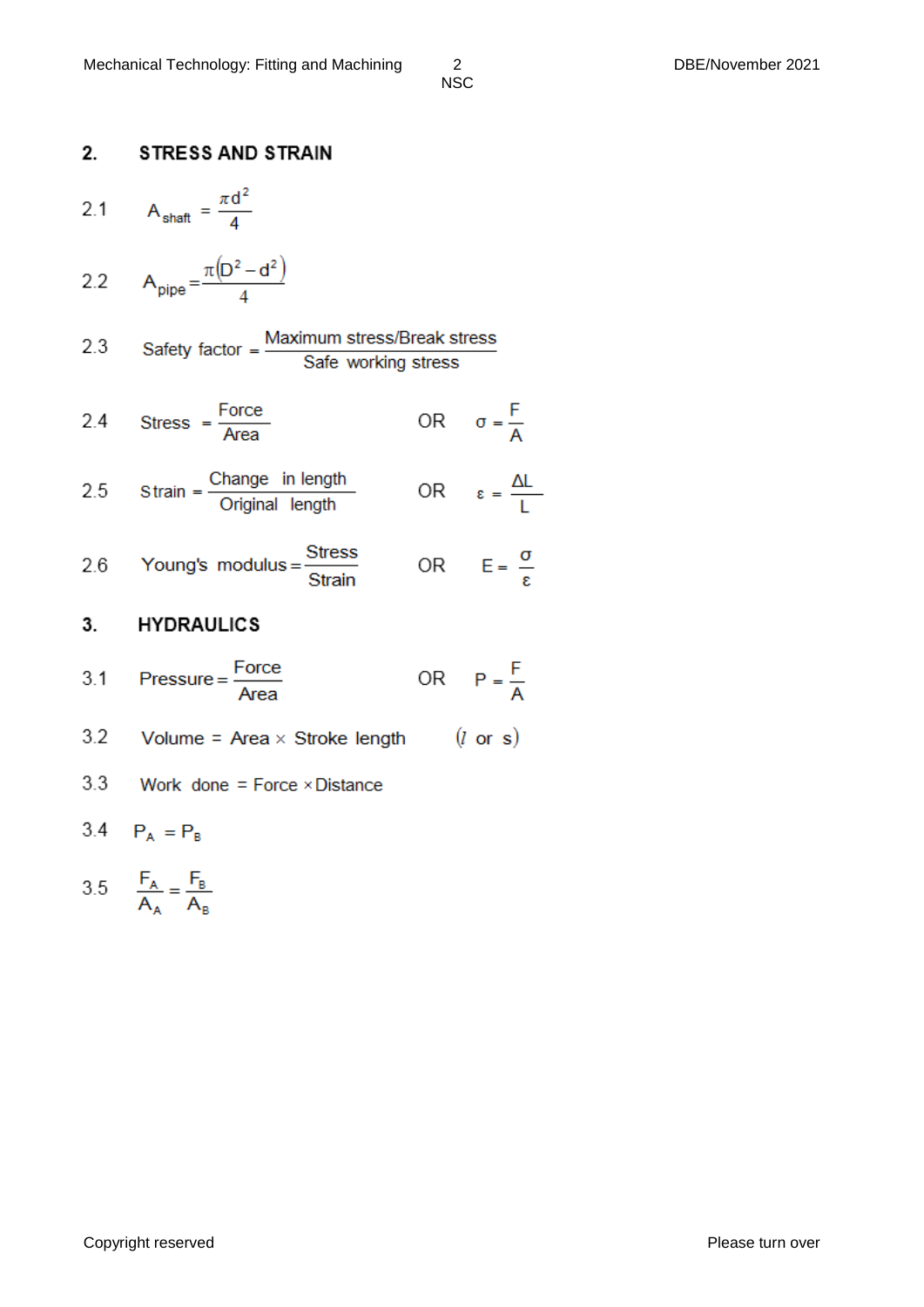#### $\overline{2}$ **STRESS AND STRAIN**

- $A_{\text{shaff}} = \frac{\pi d^2}{4}$  $2.1$
- $A_{pipe} = \frac{\pi (D^2 d^2)}{4}$  $2.2$
- Safety factor =  $\frac{\text{Maximum stress/Break stress}}{\text{Safe working stress}}$  $2.3$
- OR  $\sigma = \frac{F}{A}$ Stress =  $\frac{Force}{Area}$  $2.4$
- OR  $\epsilon = \frac{\Delta L}{I}$ Strain =  $\frac{\text{Change in length}}{\text{Original length}}$  $2.5$
- Young's modulus =  $\frac{\text{Stress}}{\text{Strain}}$ OR  $E = \frac{\sigma}{s}$ 2.6

#### 3. **HYDRAULICS**

- $\text{Pressure} = \frac{\text{Force}}{\text{Area}}$ OR  $P = \frac{F}{A}$  $3.1$
- Volume = Area  $\times$  Stroke length  $(l \text{ or } s)$  $3.2$
- 3.3 Work done = Force  $\times$  Distance
- 3.4  $P_A = P_B$

$$
3.5 \qquad \frac{F_A}{A_A} = \frac{F_B}{A_B}
$$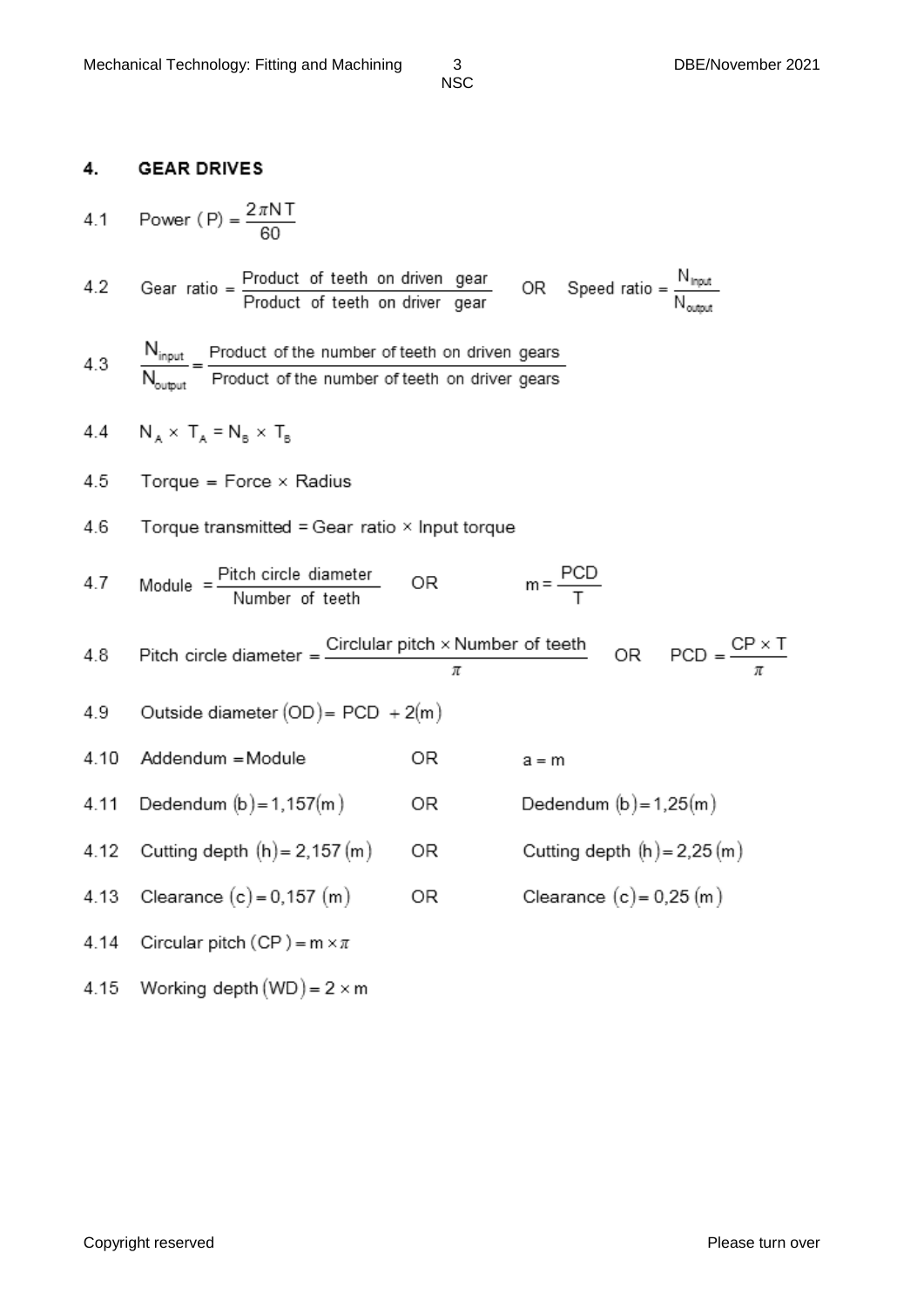#### 4. **GEAR DRIVES**

4.1 Power (P) = 
$$
\frac{2\pi NT}{60}
$$

Gear ratio =  $\frac{Product\ of\ teeth\ on\ driven\ gear}{Product\ of\ teeth\ on\ driver\ gear}$ OR Speed ratio =  $\frac{N_{input}}{N_{output}}$  $4.2$ 

4.3 
$$
\frac{N_{input}}{N_{output}} = \frac{Product\ of\ the\ number\ of\ teeth\ on\ driven\ years}{Product\ of\ the\ number\ of\ teeth\ on\ driver\ years}
$$

4.4 
$$
N_A \times T_A = N_B \times T_B
$$

4.10 Addendum = Module

4.5 Torque =  $Force \times Radius$ 

4.6 Torque transmitted = Gear ratio 
$$
\times
$$
 Input torque

 $m = \frac{PCD}{T}$ Module =  $\frac{\text{Pitch circle diameter}}{\text{Number of teeth}}$  OR  $4.7$ 

4.8 Pitch circle diameter = 
$$
\frac{\text{Circular pitch} \times \text{Number of teeth}}{\pi}
$$
 OR PCD =  $\frac{\text{CP} \times \text{T}}{\pi}$   
4.9 Outside diameter (OD) = PCD + 2(m)

OR.

 $a = m$ 

Dedendum  $(b) = 1,25(m)$ 

Cutting depth  $(h) = 2,25(m)$ 

Clearance  $(c) = 0.25$  (m)

4.9 Outside diameter 
$$
(OD) = PCD + 2(m)
$$

4.11 Dedendum 
$$
(b) = 1,157(m)
$$
 OR

4.12 Cutting depth 
$$
(h) = 2,157(m)
$$
 OR

4.14 Circular pitch (CP) = 
$$
m \times \pi
$$

4.15 Working depth (WD) = 
$$
2 \times m
$$

Copyright reserved **Please** turn over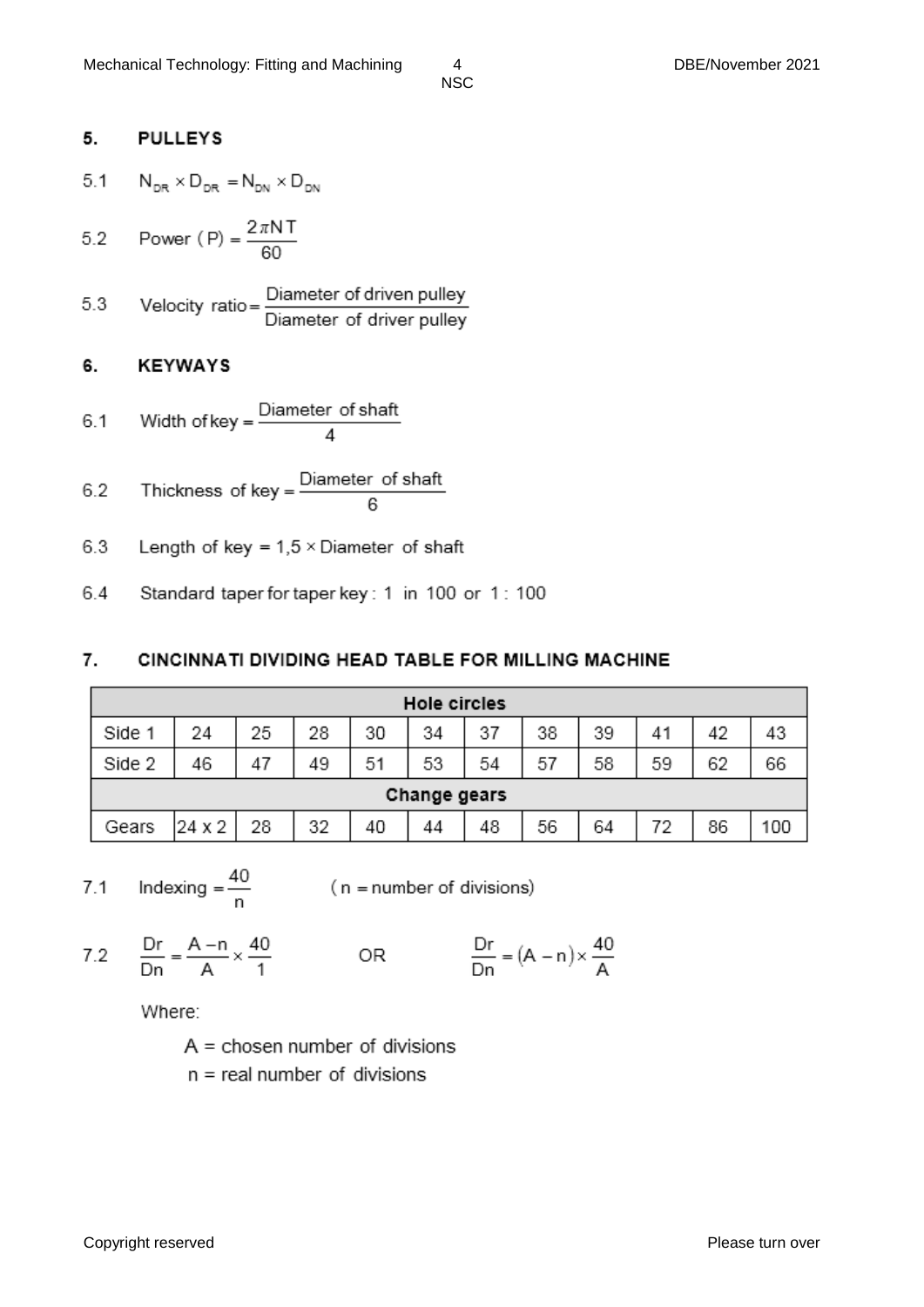#### 5. **PULLEYS**

- $5.1$  $N_{\text{DE}} \times D_{\text{DE}} = N_{\text{DM}} \times D_{\text{DM}}$
- Power (P) =  $\frac{2\pi NT}{60}$  $5.2$
- Velocity ratio =  $\frac{\text{Diameter of driven pulley}}{\text{Diameter of driver pulley}}$ 5.3

#### 6. **KEYWAYS**

- Width of key =  $\frac{\text{Diameter of shaft}}{4}$  $6.1$
- Thickness of key =  $\frac{\text{Diameter of shaft}}{6}$  $6.2$
- 6.3 Length of key =  $1,5 \times$  Diameter of shaft
- 6.4 Standard taper for taper key: 1 in 100 or 1: 100

#### 7. CINCINNATI DIVIDING HEAD TABLE FOR MILLING MACHINE

| <b>Hole circles</b> |        |    |    |    |    |    |    |    |    |    |     |
|---------------------|--------|----|----|----|----|----|----|----|----|----|-----|
| Side 1              | 24     | 25 | 28 | 30 | 34 | 37 | 38 | 39 | 41 | 42 | 43  |
| Side 2              | 46     | 47 | 49 | 51 | 53 | 54 | 57 | 58 | 59 | 62 | 66  |
| Change gears        |        |    |    |    |    |    |    |    |    |    |     |
| Gears               | 24 x 2 | 28 | 32 | 40 | 44 | 48 | 56 | 64 | 72 | 86 | 100 |

 $7.1$ 

Indexing =  $\frac{40}{n}$  (n = number of divisions)

7.2  $\frac{Dr}{Dn} = \frac{A-n}{A} \times \frac{40}{1}$ 

OR

$$
\frac{Dr}{Dn} = \left( A - n \right) \times \frac{40}{A}
$$

Where:

 $A = chosen number of divisions$ 

 $n =$  real number of divisions